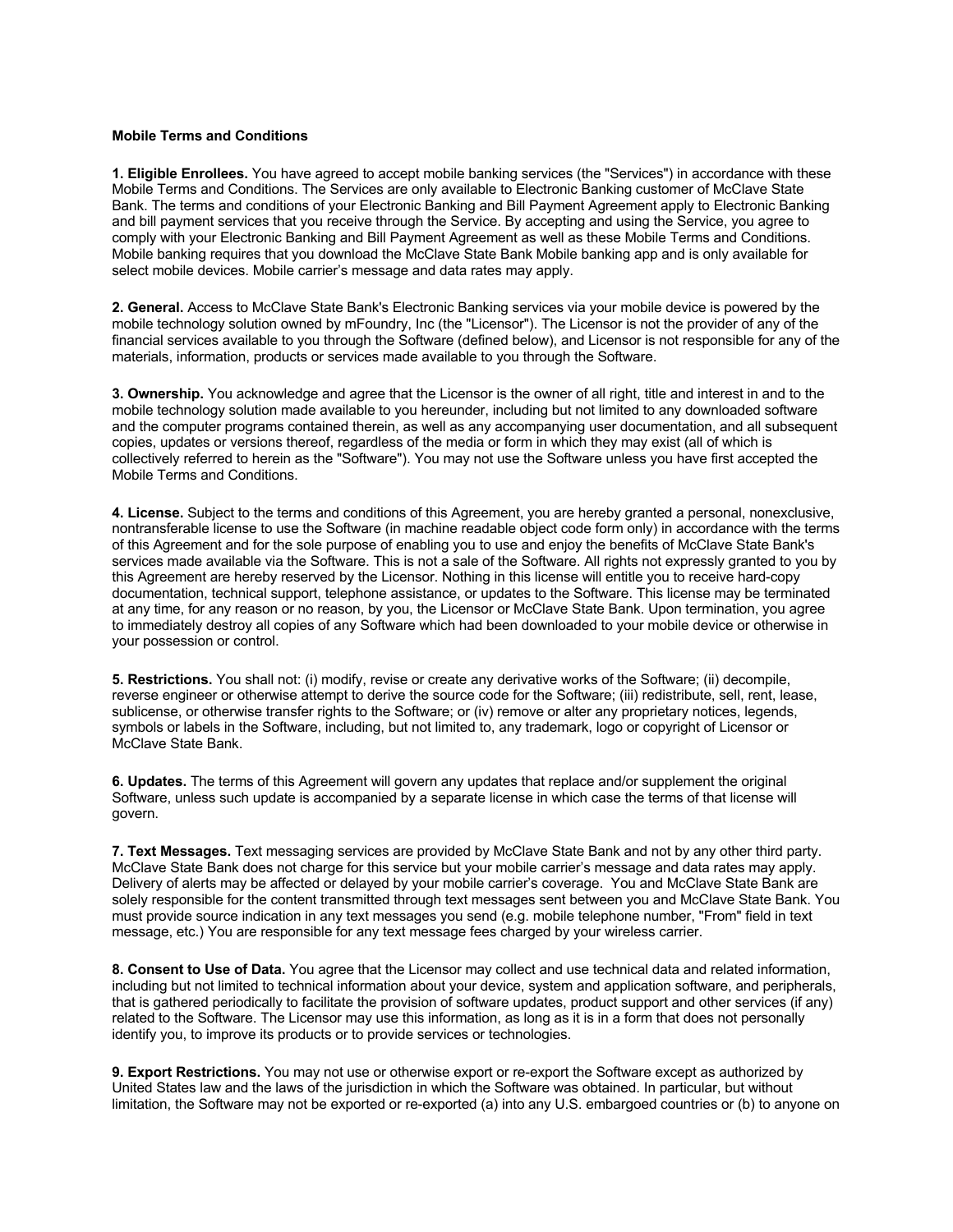## **Mobile Terms and Conditions**

**1. Eligible Enrollees.** You have agreed to accept mobile banking services (the "Services") in accordance with these Mobile Terms and Conditions. The Services are only available to Electronic Banking customer of McClave State Bank. The terms and conditions of your Electronic Banking and Bill Payment Agreement apply to Electronic Banking and bill payment services that you receive through the Service. By accepting and using the Service, you agree to comply with your Electronic Banking and Bill Payment Agreement as well as these Mobile Terms and Conditions. Mobile banking requires that you download the McClave State Bank Mobile banking app and is only available for select mobile devices. Mobile carrier's message and data rates may apply.

**2. General.** Access to McClave State Bank's Electronic Banking services via your mobile device is powered by the mobile technology solution owned by mFoundry, Inc (the "Licensor"). The Licensor is not the provider of any of the financial services available to you through the Software (defined below), and Licensor is not responsible for any of the materials, information, products or services made available to you through the Software.

**3. Ownership.** You acknowledge and agree that the Licensor is the owner of all right, title and interest in and to the mobile technology solution made available to you hereunder, including but not limited to any downloaded software and the computer programs contained therein, as well as any accompanying user documentation, and all subsequent copies, updates or versions thereof, regardless of the media or form in which they may exist (all of which is collectively referred to herein as the "Software"). You may not use the Software unless you have first accepted the Mobile Terms and Conditions.

**4. License.** Subject to the terms and conditions of this Agreement, you are hereby granted a personal, nonexclusive, nontransferable license to use the Software (in machine readable object code form only) in accordance with the terms of this Agreement and for the sole purpose of enabling you to use and enjoy the benefits of McClave State Bank's services made available via the Software. This is not a sale of the Software. All rights not expressly granted to you by this Agreement are hereby reserved by the Licensor. Nothing in this license will entitle you to receive hard-copy documentation, technical support, telephone assistance, or updates to the Software. This license may be terminated at any time, for any reason or no reason, by you, the Licensor or McClave State Bank. Upon termination, you agree to immediately destroy all copies of any Software which had been downloaded to your mobile device or otherwise in your possession or control.

**5. Restrictions.** You shall not: (i) modify, revise or create any derivative works of the Software; (ii) decompile, reverse engineer or otherwise attempt to derive the source code for the Software; (iii) redistribute, sell, rent, lease, sublicense, or otherwise transfer rights to the Software; or (iv) remove or alter any proprietary notices, legends, symbols or labels in the Software, including, but not limited to, any trademark, logo or copyright of Licensor or McClave State Bank.

**6. Updates.** The terms of this Agreement will govern any updates that replace and/or supplement the original Software, unless such update is accompanied by a separate license in which case the terms of that license will govern.

**7. Text Messages.** Text messaging services are provided by McClave State Bank and not by any other third party. McClave State Bank does not charge for this service but your mobile carrier's message and data rates may apply. Delivery of alerts may be affected or delayed by your mobile carrier's coverage. You and McClave State Bank are solely responsible for the content transmitted through text messages sent between you and McClave State Bank. You must provide source indication in any text messages you send (e.g. mobile telephone number, "From" field in text message, etc.) You are responsible for any text message fees charged by your wireless carrier.

**8. Consent to Use of Data.** You agree that the Licensor may collect and use technical data and related information, including but not limited to technical information about your device, system and application software, and peripherals, that is gathered periodically to facilitate the provision of software updates, product support and other services (if any) related to the Software. The Licensor may use this information, as long as it is in a form that does not personally identify you, to improve its products or to provide services or technologies.

**9. Export Restrictions.** You may not use or otherwise export or re-export the Software except as authorized by United States law and the laws of the jurisdiction in which the Software was obtained. In particular, but without limitation, the Software may not be exported or re-exported (a) into any U.S. embargoed countries or (b) to anyone on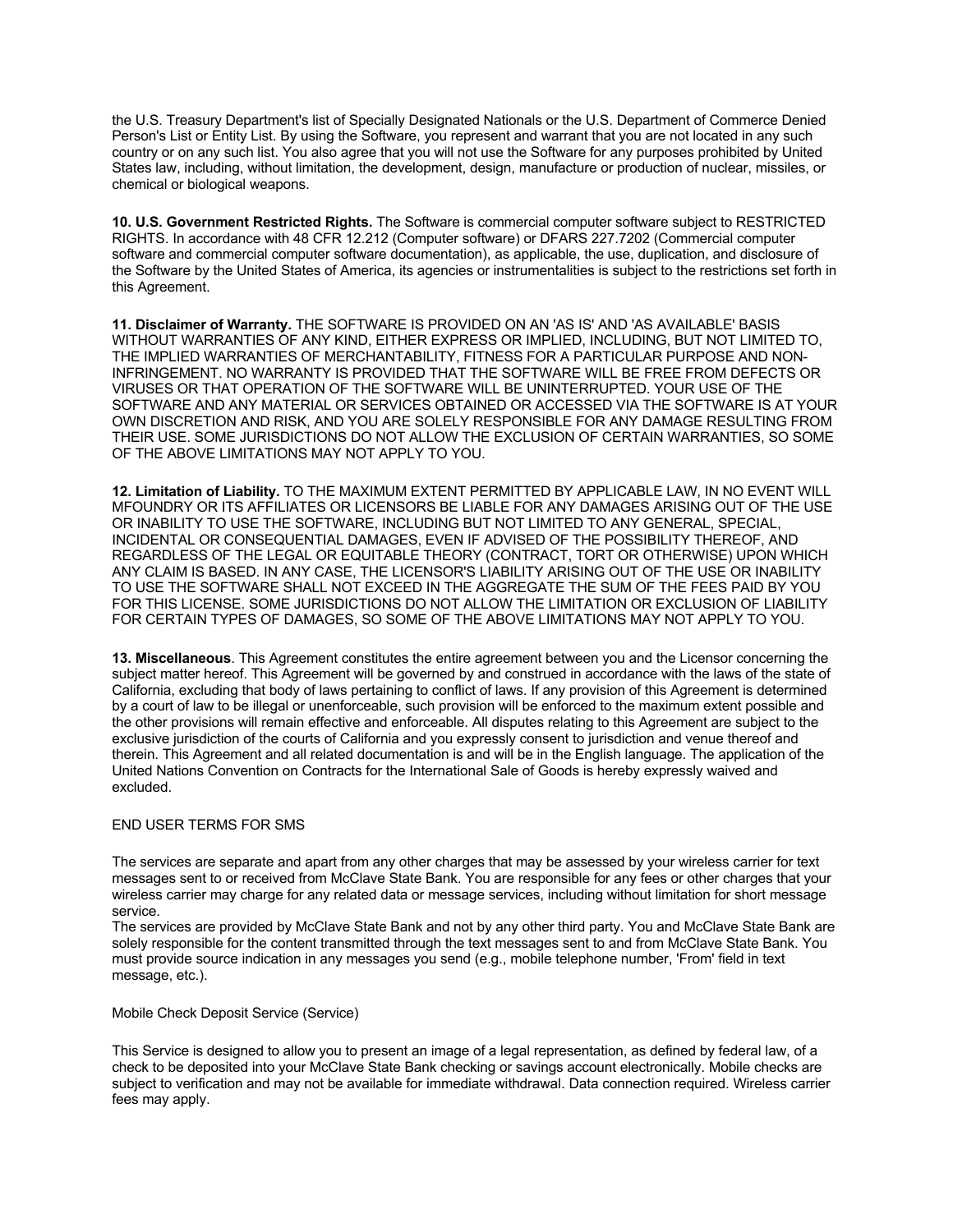the U.S. Treasury Department's list of Specially Designated Nationals or the U.S. Department of Commerce Denied Person's List or Entity List. By using the Software, you represent and warrant that you are not located in any such country or on any such list. You also agree that you will not use the Software for any purposes prohibited by United States law, including, without limitation, the development, design, manufacture or production of nuclear, missiles, or chemical or biological weapons.

**10. U.S. Government Restricted Rights.** The Software is commercial computer software subject to RESTRICTED RIGHTS. In accordance with 48 CFR 12.212 (Computer software) or DFARS 227.7202 (Commercial computer software and commercial computer software documentation), as applicable, the use, duplication, and disclosure of the Software by the United States of America, its agencies or instrumentalities is subject to the restrictions set forth in this Agreement.

**11. Disclaimer of Warranty.** THE SOFTWARE IS PROVIDED ON AN 'AS IS' AND 'AS AVAILABLE' BASIS WITHOUT WARRANTIES OF ANY KIND, EITHER EXPRESS OR IMPLIED, INCLUDING, BUT NOT LIMITED TO, THE IMPLIED WARRANTIES OF MERCHANTABILITY, FITNESS FOR A PARTICULAR PURPOSE AND NON-INFRINGEMENT. NO WARRANTY IS PROVIDED THAT THE SOFTWARE WILL BE FREE FROM DEFECTS OR VIRUSES OR THAT OPERATION OF THE SOFTWARE WILL BE UNINTERRUPTED. YOUR USE OF THE SOFTWARE AND ANY MATERIAL OR SERVICES OBTAINED OR ACCESSED VIA THE SOFTWARE IS AT YOUR OWN DISCRETION AND RISK, AND YOU ARE SOLELY RESPONSIBLE FOR ANY DAMAGE RESULTING FROM THEIR USE. SOME JURISDICTIONS DO NOT ALLOW THE EXCLUSION OF CERTAIN WARRANTIES, SO SOME OF THE ABOVE LIMITATIONS MAY NOT APPLY TO YOU.

**12. Limitation of Liability.** TO THE MAXIMUM EXTENT PERMITTED BY APPLICABLE LAW, IN NO EVENT WILL MFOUNDRY OR ITS AFFILIATES OR LICENSORS BE LIABLE FOR ANY DAMAGES ARISING OUT OF THE USE OR INABILITY TO USE THE SOFTWARE, INCLUDING BUT NOT LIMITED TO ANY GENERAL, SPECIAL, INCIDENTAL OR CONSEQUENTIAL DAMAGES, EVEN IF ADVISED OF THE POSSIBILITY THEREOF, AND REGARDLESS OF THE LEGAL OR EQUITABLE THEORY (CONTRACT, TORT OR OTHERWISE) UPON WHICH ANY CLAIM IS BASED. IN ANY CASE, THE LICENSOR'S LIABILITY ARISING OUT OF THE USE OR INABILITY TO USE THE SOFTWARE SHALL NOT EXCEED IN THE AGGREGATE THE SUM OF THE FEES PAID BY YOU FOR THIS LICENSE. SOME JURISDICTIONS DO NOT ALLOW THE LIMITATION OR EXCLUSION OF LIABILITY FOR CERTAIN TYPES OF DAMAGES, SO SOME OF THE ABOVE LIMITATIONS MAY NOT APPLY TO YOU.

**13. Miscellaneous**. This Agreement constitutes the entire agreement between you and the Licensor concerning the subject matter hereof. This Agreement will be governed by and construed in accordance with the laws of the state of California, excluding that body of laws pertaining to conflict of laws. If any provision of this Agreement is determined by a court of law to be illegal or unenforceable, such provision will be enforced to the maximum extent possible and the other provisions will remain effective and enforceable. All disputes relating to this Agreement are subject to the exclusive jurisdiction of the courts of California and you expressly consent to jurisdiction and venue thereof and therein. This Agreement and all related documentation is and will be in the English language. The application of the United Nations Convention on Contracts for the International Sale of Goods is hereby expressly waived and excluded.

## END USER TERMS FOR SMS

The services are separate and apart from any other charges that may be assessed by your wireless carrier for text messages sent to or received from McClave State Bank. You are responsible for any fees or other charges that your wireless carrier may charge for any related data or message services, including without limitation for short message service.

The services are provided by McClave State Bank and not by any other third party. You and McClave State Bank are solely responsible for the content transmitted through the text messages sent to and from McClave State Bank. You must provide source indication in any messages you send (e.g., mobile telephone number, 'From' field in text message, etc.).

## Mobile Check Deposit Service (Service)

This Service is designed to allow you to present an image of a legal representation, as defined by federal law, of a check to be deposited into your McClave State Bank checking or savings account electronically. Mobile checks are subject to verification and may not be available for immediate withdrawal. Data connection required. Wireless carrier fees may apply.